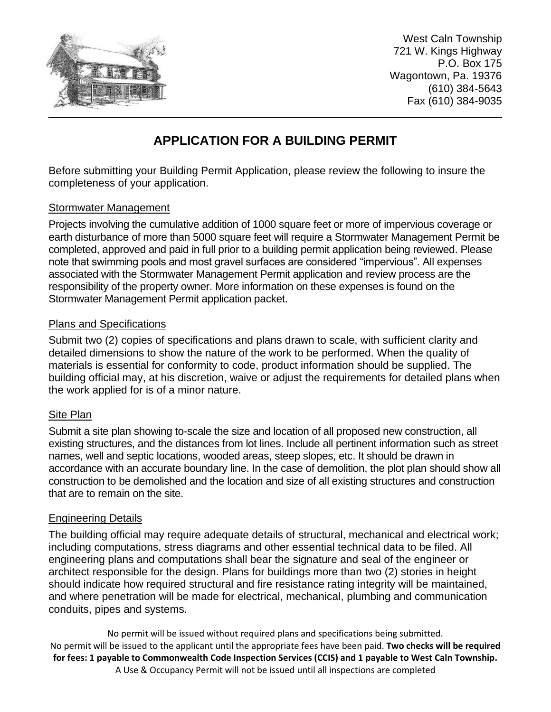

West Caln Township 721 W. Kings Highway P.O. Box 175 Wagontown, Pa. 19376 (610) 384-5643 Fax (610) 384-9035

# **APPLICATION FOR A BUILDING PERMIT**

Before submitting your Building Permit Application, please review the following to insure the completeness of your application.

## Stormwater Management

Projects involving the cumulative addition of 1000 square feet or more of impervious coverage or earth disturbance of more than 5000 square feet will require a Stormwater Management Permit be completed, approved and paid in full prior to a building permit application being reviewed. Please note that swimming pools and most gravel surfaces are considered "impervious". All expenses associated with the Stormwater Management Permit application and review process are the responsibility of the property owner. More information on these expenses is found on the Stormwater Management Permit application packet.

## Plans and Specifications

Submit two (2) copies of specifications and plans drawn to scale, with sufficient clarity and detailed dimensions to show the nature of the work to be performed. When the quality of materials is essential for conformity to code, product information should be supplied. The building official may, at his discretion, waive or adjust the requirements for detailed plans when the work applied for is of a minor nature.

## Site Plan

Submit a site plan showing to-scale the size and location of all proposed new construction, all existing structures, and the distances from lot lines. Include all pertinent information such as street names, well and septic locations, wooded areas, steep slopes, etc. It should be drawn in accordance with an accurate boundary line. In the case of demolition, the plot plan should show all construction to be demolished and the location and size of all existing structures and construction that are to remain on the site.

## Engineering Details

The building official may require adequate details of structural, mechanical and electrical work; including computations, stress diagrams and other essential technical data to be filed. All engineering plans and computations shall bear the signature and seal of the engineer or architect responsible for the design. Plans for buildings more than two (2) stories in height should indicate how required structural and fire resistance rating integrity will be maintained, and where penetration will be made for electrical, mechanical, plumbing and communication conduits, pipes and systems.

No permit will be issued without required plans and specifications being submitted. No permit will be issued to the applicant until the appropriate fees have been paid. **Two checks will be required for fees: 1 payable to Commonwealth Code Inspection Services (CCIS) and 1 payable to West Caln Township.** A Use & Occupancy Permit will not be issued until all inspections are completed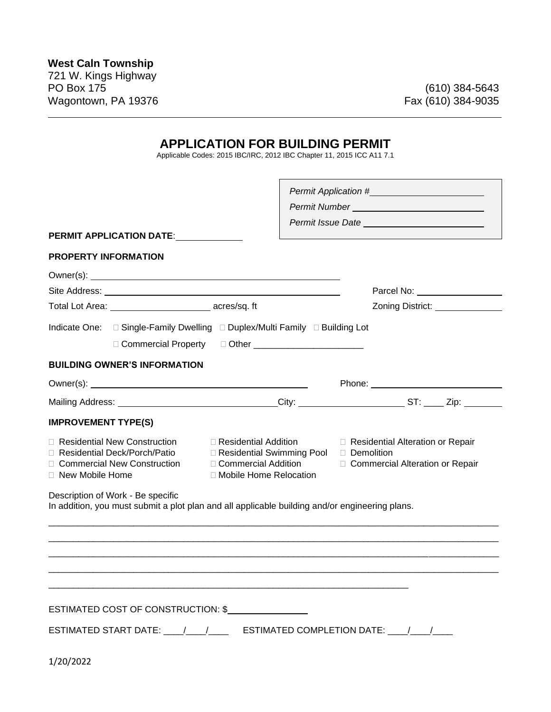## **APPLICATION FOR BUILDING PERMIT**

L

Applicable Codes: 2015 IBC/IRC, 2012 IBC Chapter 11, 2015 ICC A11 7.1

|                                                                                                                                                                                                                                           | Permit Number<br><u>Letter</u> <b>Andrew Contract Contract Contract Contract Contract Contract Contract Contract Contract Contract Contract Contract Contract Contract Contract Contract Contract Contract Contract Contract Contract </b> |                                                                                       |  |  |
|-------------------------------------------------------------------------------------------------------------------------------------------------------------------------------------------------------------------------------------------|--------------------------------------------------------------------------------------------------------------------------------------------------------------------------------------------------------------------------------------------|---------------------------------------------------------------------------------------|--|--|
|                                                                                                                                                                                                                                           |                                                                                                                                                                                                                                            |                                                                                       |  |  |
| <b>PERMIT APPLICATION DATE:</b>                                                                                                                                                                                                           |                                                                                                                                                                                                                                            |                                                                                       |  |  |
| <b>PROPERTY INFORMATION</b>                                                                                                                                                                                                               |                                                                                                                                                                                                                                            |                                                                                       |  |  |
|                                                                                                                                                                                                                                           |                                                                                                                                                                                                                                            |                                                                                       |  |  |
|                                                                                                                                                                                                                                           |                                                                                                                                                                                                                                            | Parcel No: <u>New York Note</u>                                                       |  |  |
| Total Lot Area: _______________________________ acres/sq. ft                                                                                                                                                                              |                                                                                                                                                                                                                                            | Zoning District: ________________                                                     |  |  |
| Indicate One: □ Single-Family Dwelling □ Duplex/Multi Family □ Building Lot<br>□ Commercial Property □ Other ___________________________                                                                                                  |                                                                                                                                                                                                                                            |                                                                                       |  |  |
| <b>BUILDING OWNER'S INFORMATION</b>                                                                                                                                                                                                       |                                                                                                                                                                                                                                            |                                                                                       |  |  |
|                                                                                                                                                                                                                                           |                                                                                                                                                                                                                                            |                                                                                       |  |  |
| Mailing Address: _________________________________City: ________________________ST: _____ Zip: __________                                                                                                                                 |                                                                                                                                                                                                                                            |                                                                                       |  |  |
| <b>IMPROVEMENT TYPE(S)</b>                                                                                                                                                                                                                |                                                                                                                                                                                                                                            |                                                                                       |  |  |
| □ Residential New Construction<br>$\Box$ Residential Addition<br>Residential Deck/Porch/Patio □ Residential Swimming Pool<br>□ Commercial Addition<br><b>Commercial New Construction</b><br>□ Mobile Home Relocation<br>□ New Mobile Home |                                                                                                                                                                                                                                            | □ Residential Alteration or Repair<br>Demolition<br>□ Commercial Alteration or Repair |  |  |
| Description of Work - Be specific<br>In addition, you must submit a plot plan and all applicable building and/or engineering plans.                                                                                                       |                                                                                                                                                                                                                                            |                                                                                       |  |  |
|                                                                                                                                                                                                                                           |                                                                                                                                                                                                                                            |                                                                                       |  |  |
| ESTIMATED COST OF CONSTRUCTION: \$                                                                                                                                                                                                        |                                                                                                                                                                                                                                            |                                                                                       |  |  |
|                                                                                                                                                                                                                                           |                                                                                                                                                                                                                                            |                                                                                       |  |  |
| 1/20/2022                                                                                                                                                                                                                                 |                                                                                                                                                                                                                                            |                                                                                       |  |  |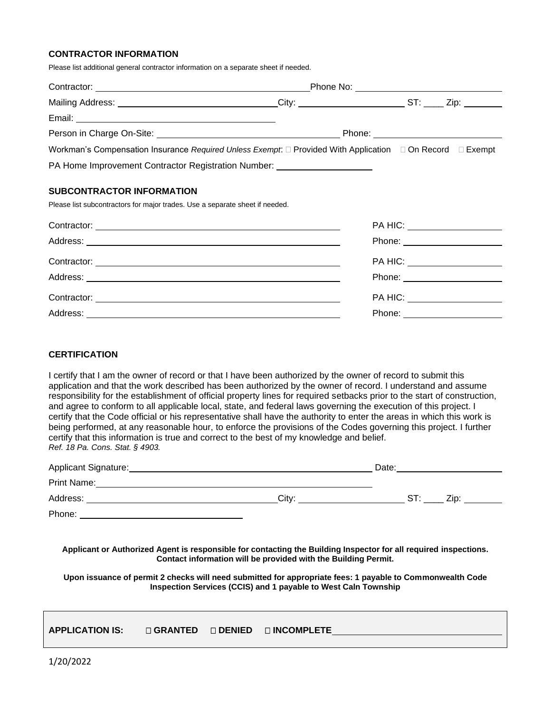### **CONTRACTOR INFORMATION**

Please list additional general contractor information on a separate sheet if needed.

| Mailing Address: _________________________________City: ________________________ST: _____ Zip: __________                                                                                                                          |                              |
|------------------------------------------------------------------------------------------------------------------------------------------------------------------------------------------------------------------------------------|------------------------------|
|                                                                                                                                                                                                                                    |                              |
| Person in Charge On-Site: <u>[1984]</u> Phone: Phone: 2006. [2016] Phone: 2016. [2016] Phone: 2016. [2016] Phone: 2016. [2016] Phone: 2016. [2016] Phone: 2016. [2016] Phone: 2016. [2016] Phone: 2016. [2016] Phone: 2016. [2016] |                              |
| Workman's Compensation Insurance Required Unless Exempt: □ Provided With Application □ On Record □ Exempt                                                                                                                          |                              |
| PA Home Improvement Contractor Registration Number: ____________________________                                                                                                                                                   |                              |
| <b>SUBCONTRACTOR INFORMATION</b>                                                                                                                                                                                                   |                              |
| Please list subcontractors for major trades. Use a separate sheet if needed.                                                                                                                                                       |                              |
|                                                                                                                                                                                                                                    | PA HIC: ____________________ |
|                                                                                                                                                                                                                                    |                              |
| Contractor:                                                                                                                                                                                                                        | PA HIC: <b>Example</b>       |

| Contractor: | PA HIU. |
|-------------|---------|
| Address:    | Phone:  |
| Contractor: | PA HIC: |
| Address:    | Phone:  |

#### **CERTIFICATION**

I certify that I am the owner of record or that I have been authorized by the owner of record to submit this application and that the work described has been authorized by the owner of record. I understand and assume responsibility for the establishment of official property lines for required setbacks prior to the start of construction, and agree to conform to all applicable local, state, and federal laws governing the execution of this project. I certify that the Code official or his representative shall have the authority to enter the areas in which this work is being performed, at any reasonable hour, to enforce the provisions of the Codes governing this project. I further certify that this information is true and correct to the best of my knowledge and belief. *Ref. 18 Pa. Cons. Stat. § 4903.* 

| Applicant Signature: |       | Date: |      |
|----------------------|-------|-------|------|
| Print Name:          |       |       |      |
| Address:             | City: | SТ    | Zin: |
| Phone:               |       |       |      |

**Applicant or Authorized Agent is responsible for contacting the Building Inspector for all required inspections. Contact information will be provided with the Building Permit.**

**Upon issuance of permit 2 checks will need submitted for appropriate fees: 1 payable to Commonwealth Code Inspection Services (CCIS) and 1 payable to West Caln Township**

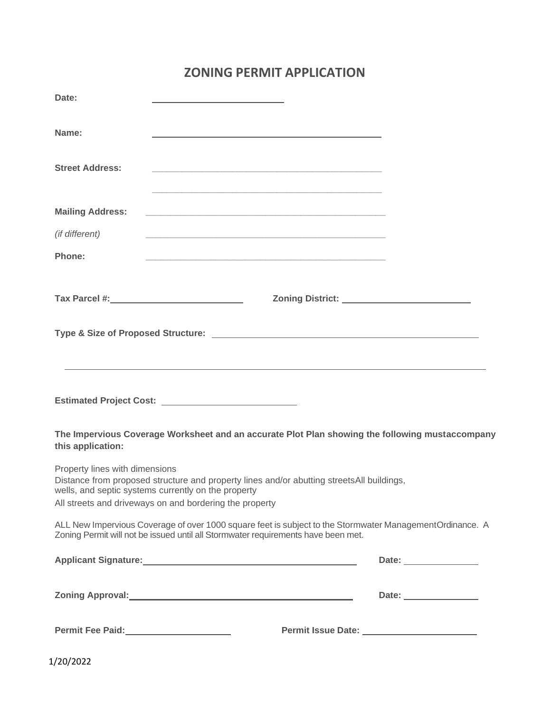# **ZONING PERMIT APPLICATION**

| Date:                          |                                                                                                                                                                                                                                |  |
|--------------------------------|--------------------------------------------------------------------------------------------------------------------------------------------------------------------------------------------------------------------------------|--|
| Name:                          | the control of the control of the control of the control of the control of the control of the control of the control of the control of the control of the control of the control of the control of the control of the control  |  |
| <b>Street Address:</b>         | <u> 1980 - Johann John Harry Harry Harry Harry Harry Harry Harry Harry Harry Harry Harry Harry Harry Harry Harry</u>                                                                                                           |  |
| <b>Mailing Address:</b>        |                                                                                                                                                                                                                                |  |
| (if different)                 | <u> 1989 - Johann Barn, mars ann an t-Amhainn an t-Amhainn an t-Amhainn an t-Amhainn an t-Amhainn an t-Amhainn an </u>                                                                                                         |  |
| Phone:                         |                                                                                                                                                                                                                                |  |
|                                |                                                                                                                                                                                                                                |  |
|                                | ,我们也不会有什么。""我们的人,我们也不会有什么?""我们的人,我们也不会有什么?""我们的人,我们也不会有什么?""我们的人,我们也不会有什么?""我们的人                                                                                                                                               |  |
|                                |                                                                                                                                                                                                                                |  |
| this application:              | The Impervious Coverage Worksheet and an accurate Plot Plan showing the following mustaccompany                                                                                                                                |  |
| Property lines with dimensions | Distance from proposed structure and property lines and/or abutting streets All buildings,<br>wells, and septic systems currently on the property<br>All streets and driveways on and bordering the property                   |  |
|                                | ALL New Impervious Coverage of over 1000 square feet is subject to the Stormwater ManagementOrdinance. A<br>Zoning Permit will not be issued until all Stormwater requirements have been met.                                  |  |
|                                | Applicant Signature: Management of the Contract of the Contract of the Contract of the Contract of the Contract of the Contract of the Contract of the Contract of the Contract of the Contract of the Contract of the Contrac |  |
|                                | Zoning Approval: 2008                                                                                                                                                                                                          |  |
| Permit Fee Paid:<br><u> </u>   |                                                                                                                                                                                                                                |  |

1/20/2022